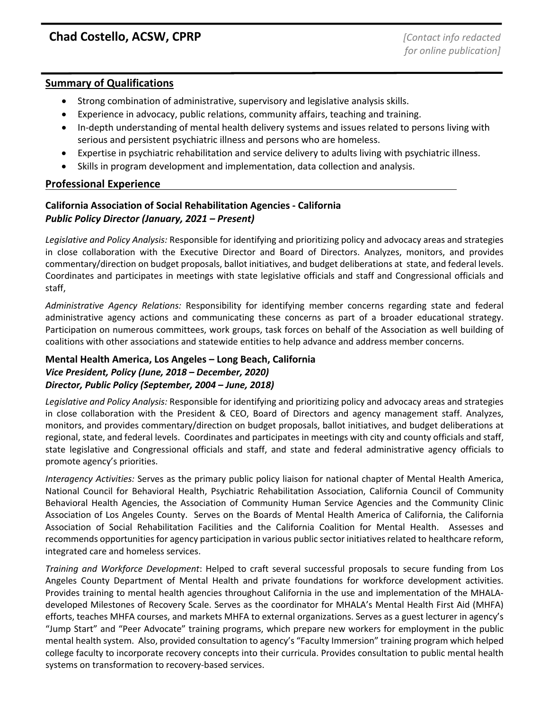## **Summary of Qualifications**

- Strong combination of administrative, supervisory and legislative analysis skills.
- Experience in advocacy, public relations, community affairs, teaching and training.
- In-depth understanding of mental health delivery systems and issues related to persons living with serious and persistent psychiatric illness and persons who are homeless.
- Expertise in psychiatric rehabilitation and service delivery to adults living with psychiatric illness.
- Skills in program development and implementation, data collection and analysis.

# **Professional Experience**

# **California Association of Social Rehabilitation Agencies - California** *Public Policy Director (January, 2021 – Present)*

*Legislative and Policy Analysis:* Responsible for identifying and prioritizing policy and advocacy areas and strategies in close collaboration with the Executive Director and Board of Directors. Analyzes, monitors, and provides commentary/direction on budget proposals, ballot initiatives, and budget deliberations at state, and federal levels. Coordinates and participates in meetings with state legislative officials and staff and Congressional officials and staff,

*Administrative Agency Relations:* Responsibility for identifying member concerns regarding state and federal administrative agency actions and communicating these concerns as part of a broader educational strategy. Participation on numerous committees, work groups, task forces on behalf of the Association as well building of coalitions with other associations and statewide entities to help advance and address member concerns.

## **Mental Health America, Los Angeles – Long Beach, California** *Vice President, Policy (June, 2018 – December, 2020) Director, Public Policy (September, 2004 – June, 2018)*

*Legislative and Policy Analysis:* Responsible for identifying and prioritizing policy and advocacy areas and strategies in close collaboration with the President & CEO, Board of Directors and agency management staff. Analyzes, monitors, and provides commentary/direction on budget proposals, ballot initiatives, and budget deliberations at regional, state, and federal levels. Coordinates and participates in meetings with city and county officials and staff, state legislative and Congressional officials and staff, and state and federal administrative agency officials to promote agency's priorities.

*Interagency Activities:* Serves as the primary public policy liaison for national chapter of Mental Health America, National Council for Behavioral Health, Psychiatric Rehabilitation Association, California Council of Community Behavioral Health Agencies, the Association of Community Human Service Agencies and the Community Clinic Association of Los Angeles County. Serves on the Boards of Mental Health America of California, the California Association of Social Rehabilitation Facilities and the California Coalition for Mental Health. Assesses and recommends opportunities for agency participation in various public sector initiatives related to healthcare reform, integrated care and homeless services.

*Training and Workforce Development*: Helped to craft several successful proposals to secure funding from Los Angeles County Department of Mental Health and private foundations for workforce development activities. Provides training to mental health agencies throughout California in the use and implementation of the MHALAdeveloped Milestones of Recovery Scale. Serves as the coordinator for MHALA's Mental Health First Aid (MHFA) efforts, teaches MHFA courses, and markets MHFA to external organizations. Serves as a guest lecturer in agency's "Jump Start" and "Peer Advocate" training programs, which prepare new workers for employment in the public mental health system. Also, provided consultation to agency's "Faculty Immersion" training program which helped college faculty to incorporate recovery concepts into their curricula. Provides consultation to public mental health systems on transformation to recovery-based services.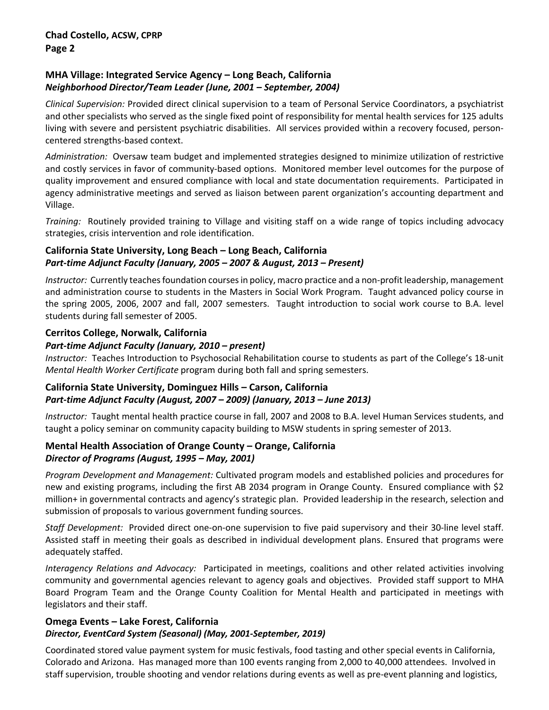# **MHA Village: Integrated Service Agency – Long Beach, California** *Neighborhood Director/Team Leader (June, 2001 – September, 2004)*

*Clinical Supervision:* Provided direct clinical supervision to a team of Personal Service Coordinators, a psychiatrist and other specialists who served as the single fixed point of responsibility for mental health services for 125 adults living with severe and persistent psychiatric disabilities. All services provided within a recovery focused, personcentered strengths-based context.

*Administration:* Oversaw team budget and implemented strategies designed to minimize utilization of restrictive and costly services in favor of community-based options. Monitored member level outcomes for the purpose of quality improvement and ensured compliance with local and state documentation requirements. Participated in agency administrative meetings and served as liaison between parent organization's accounting department and Village.

*Training:* Routinely provided training to Village and visiting staff on a wide range of topics including advocacy strategies, crisis intervention and role identification.

## **California State University, Long Beach – Long Beach, California** *Part-time Adjunct Faculty (January, 2005 – 2007 & August, 2013 – Present)*

*Instructor:* Currently teaches foundation courses in policy, macro practice and a non-profit leadership, management and administration course to students in the Masters in Social Work Program. Taught advanced policy course in the spring 2005, 2006, 2007 and fall, 2007 semesters. Taught introduction to social work course to B.A. level students during fall semester of 2005.

## **Cerritos College, Norwalk, California**

# *Part-time Adjunct Faculty (January, 2010 – present)*

*Instructor:* Teaches Introduction to Psychosocial Rehabilitation course to students as part of the College's 18-unit *Mental Health Worker Certificate* program during both fall and spring semesters.

## **California State University, Dominguez Hills – Carson, California** *Part-time Adjunct Faculty (August, 2007 – 2009) (January, 2013 – June 2013)*

*Instructor:* Taught mental health practice course in fall, 2007 and 2008 to B.A. level Human Services students, and taught a policy seminar on community capacity building to MSW students in spring semester of 2013.

## **Mental Health Association of Orange County – Orange, California** *Director of Programs (August, 1995 – May, 2001)*

*Program Development and Management:* Cultivated program models and established policies and procedures for new and existing programs, including the first AB 2034 program in Orange County. Ensured compliance with \$2 million+ in governmental contracts and agency's strategic plan. Provided leadership in the research, selection and submission of proposals to various government funding sources.

*Staff Development:* Provided direct one-on-one supervision to five paid supervisory and their 30-line level staff. Assisted staff in meeting their goals as described in individual development plans. Ensured that programs were adequately staffed.

*Interagency Relations and Advocacy:* Participated in meetings, coalitions and other related activities involving community and governmental agencies relevant to agency goals and objectives. Provided staff support to MHA Board Program Team and the Orange County Coalition for Mental Health and participated in meetings with legislators and their staff.

## **Omega Events – Lake Forest, California**

# *Director, EventCard System (Seasonal) (May, 2001-September, 2019)*

Coordinated stored value payment system for music festivals, food tasting and other special events in California, Colorado and Arizona. Has managed more than 100 events ranging from 2,000 to 40,000 attendees. Involved in staff supervision, trouble shooting and vendor relations during events as well as pre-event planning and logistics,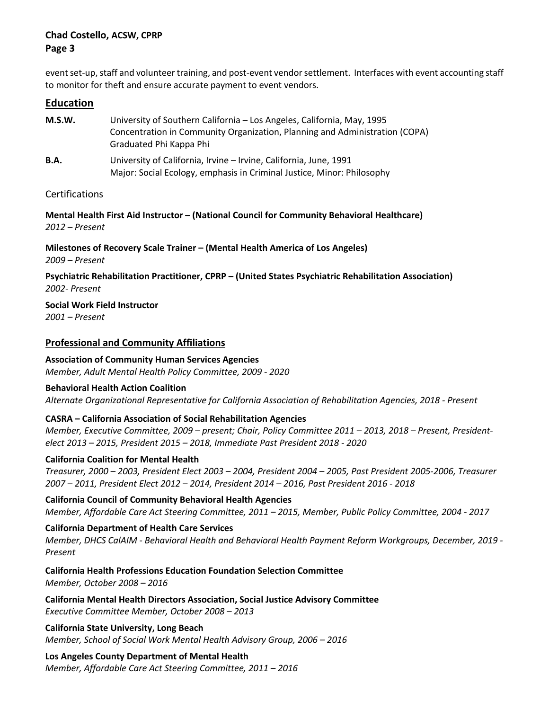## **Chad Costello, ACSW, CPRP Page 3**

event set-up, staff and volunteer training, and post-event vendor settlement. Interfaces with event accounting staff to monitor for theft and ensure accurate payment to event vendors.

#### **Education**

| M.S.W.      | University of Southern California - Los Angeles, California, May, 1995<br>Concentration in Community Organization, Planning and Administration (COPA)<br>Graduated Phi Kappa Phi |
|-------------|----------------------------------------------------------------------------------------------------------------------------------------------------------------------------------|
| <b>B.A.</b> | University of California, Irvine - Irvine, California, June, 1991<br>Major: Social Ecology, emphasis in Criminal Justice, Minor: Philosophy                                      |

#### Certifications

**Mental Health First Aid Instructor – (National Council for Community Behavioral Healthcare)** *2012 – Present*

**Milestones of Recovery Scale Trainer – (Mental Health America of Los Angeles)** *2009 – Present*

**Psychiatric Rehabilitation Practitioner, CPRP – (United States Psychiatric Rehabilitation Association)** *2002- Present*

**Social Work Field Instructor**

*2001 – Present*

## **Professional and Community Affiliations**

### **Association of Community Human Services Agencies**

*Member, Adult Mental Health Policy Committee, 2009 - 2020*

#### **Behavioral Health Action Coalition**

*Alternate Organizational Representative for California Association of Rehabilitation Agencies, 2018 - Present*

## **CASRA – California Association of Social Rehabilitation Agencies**

*Member, Executive Committee, 2009 – present; Chair, Policy Committee 2011 – 2013, 2018 – Present, Presidentelect 2013 – 2015, President 2015 – 2018, Immediate Past President 2018 - 2020*

## **California Coalition for Mental Health**

*Treasurer, 2000 – 2003, President Elect 2003 – 2004, President 2004 – 2005, Past President 2005-2006, Treasurer 2007 – 2011, President Elect 2012 – 2014, President 2014 – 2016, Past President 2016 - 2018*

**California Council of Community Behavioral Health Agencies** *Member, Affordable Care Act Steering Committee, 2011 – 2015, Member, Public Policy Committee, 2004 - 2017*

## **California Department of Health Care Services**

*Member, DHCS CalAIM - Behavioral Health and Behavioral Health Payment Reform Workgroups, December, 2019 - Present*

**California Health Professions Education Foundation Selection Committee** *Member, October 2008 – 2016*

**California Mental Health Directors Association, Social Justice Advisory Committee** *Executive Committee Member, October 2008 – 2013*

**California State University, Long Beach** *Member, School of Social Work Mental Health Advisory Group, 2006 – 2016*

## **Los Angeles County Department of Mental Health**

*Member, Affordable Care Act Steering Committee, 2011 – 2016*